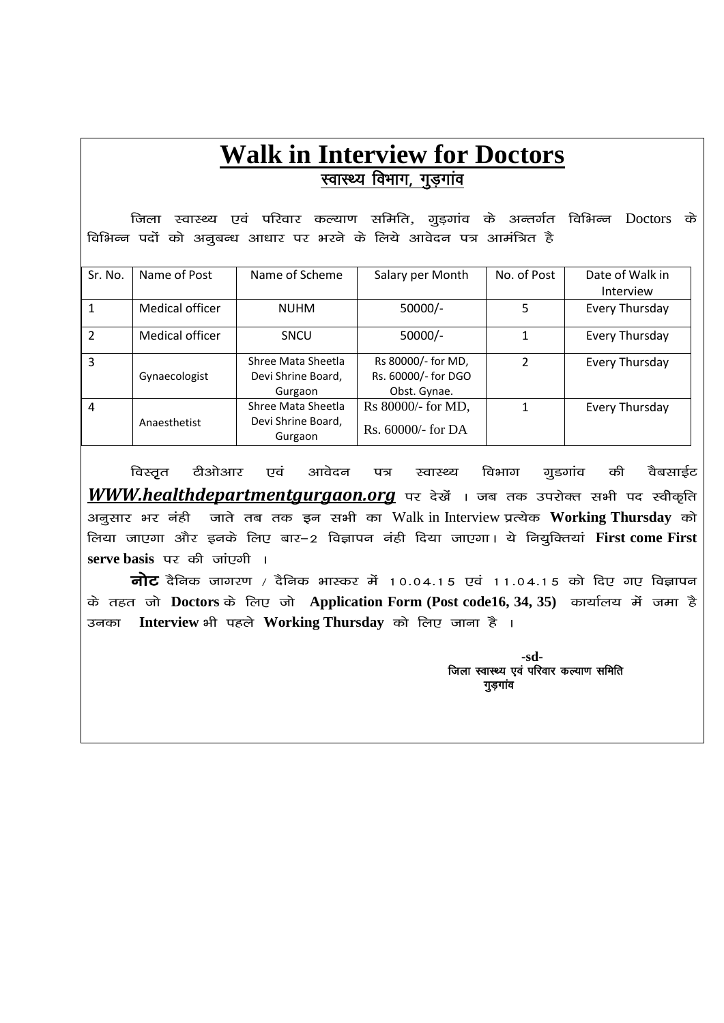## **Walk in Interview for Doctors** स्वास्थ्य विभाग, गुड़गांव

<u>जिला स्वास्थ्य एवं परिवार कल्याण समिति, ग्र</u>ड़गांव के अन्तर्गत विभिन्न Doctors के विभिन्न पदों को अनूबन्ध आधार पर भरने के लिये आवेदन पत्र आमंत्रित है

| Sr. No.        | Name of Post    | Name of Scheme                                      | Salary per Month                                          | No. of Post   | Date of Walk in<br><b>Interview</b> |
|----------------|-----------------|-----------------------------------------------------|-----------------------------------------------------------|---------------|-------------------------------------|
|                | Medical officer | <b>NUHM</b>                                         | $50000/-$                                                 | 5             | Every Thursday                      |
| $\mathcal{P}$  | Medical officer | <b>SNCU</b>                                         | $50000/-$                                                 |               | Every Thursday                      |
| 3              | Gynaecologist   | Shree Mata Sheetla<br>Devi Shrine Board,<br>Gurgaon | Rs 80000/- for MD,<br>Rs. 60000/- for DGO<br>Obst. Gynae. | $\mathcal{P}$ | Every Thursday                      |
| $\overline{4}$ | Anaesthetist    | Shree Mata Sheetla<br>Devi Shrine Board,<br>Gurgaon | Rs 80000/- for MD,<br>Rs. $60000/-$ for DA                |               | Every Thursday                      |

विस्तृत टीओआर एवं आवेदन पत्र स्वास्थ्य विभाग गुडगांव की वैबसाईट **WWW.healthdepartmentgurgaon.org** पर देखें । जब तक उपरोक्त सभी पद स्वीकृति अनुसार भर नंही जाते तब तक इन सभी का Walk in Interview प्रत्येक Working Thursday को लिया जाएगा और इनके लिए बार–2 विज्ञापन नंही दिया जाएगा। ये नियूक्तियां First come First **serve basis** पर की जांएगी ।

**नोट** दैनिक जागरण / दैनिक भास्कर में 10.04.15 एवं 11.04.15 को दिए गए विज्ञापन के तहत जो Doctors के लिए जो Application Form (Post code16, 34, 35) कार्यालय में जमा है उनका Interview भी पहले Working Thursday को लिए जाना है ।

> **-sd-** जिला स्वास्थ्य एवं परिवार कल्याण समिति गुडगांव